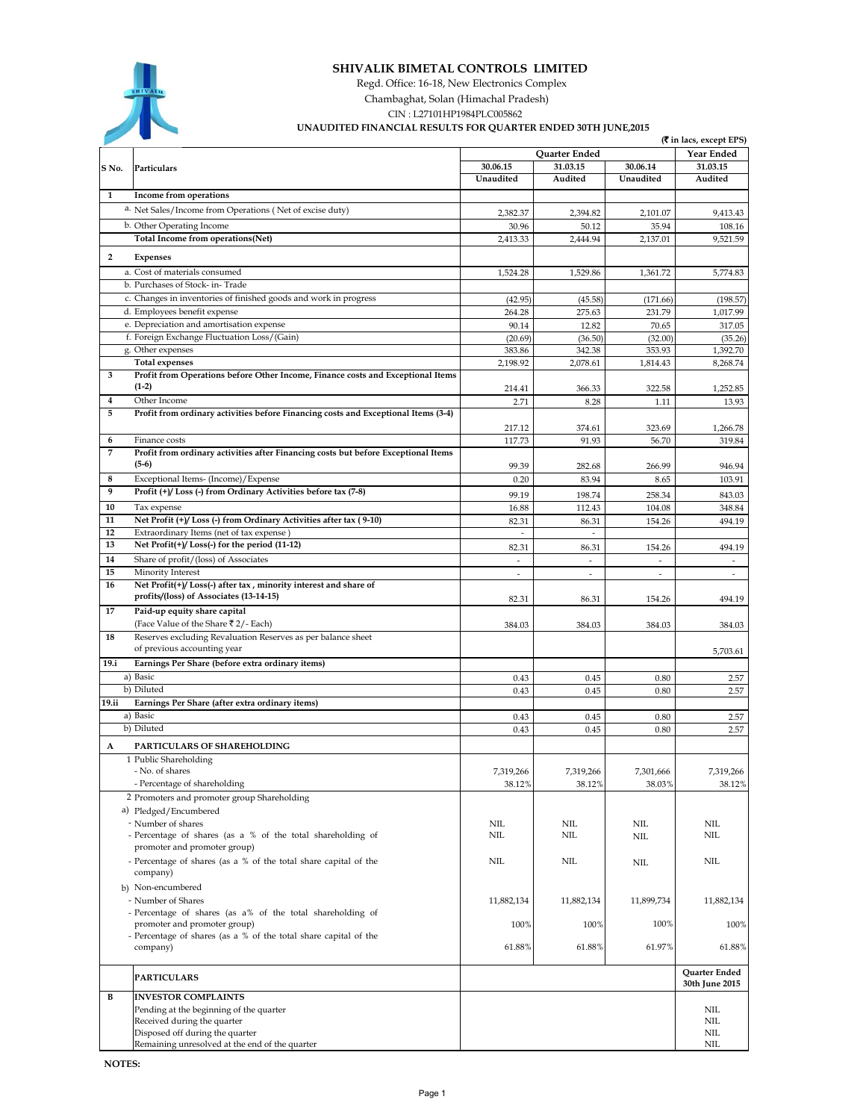

## **SHIVALIK BIMETAL CONTROLS LIMITED**

Regd. Office: 16-18, New Electronics Complex

Chambaghat, Solan (Himachal Pradesh)

CIN : L27101HP1984PLC005862

## **UNAUDITED FINANCIAL RESULTS FOR QUARTER ENDED 30TH JUNE,2015**

|                |                                                                                            |                                   |                         |                                                      | <b>(₹</b> in lacs, except EPS)                       |
|----------------|--------------------------------------------------------------------------------------------|-----------------------------------|-------------------------|------------------------------------------------------|------------------------------------------------------|
|                |                                                                                            |                                   | Quarter Ended           |                                                      | <b>Year Ended</b>                                    |
| S No.          | Particulars                                                                                | 30.06.15                          | 31.03.15                | 30.06.14                                             | 31.03.15                                             |
|                |                                                                                            | Unaudited                         | Audited                 | Unaudited                                            | Audited                                              |
| 1              | Income from operations                                                                     |                                   |                         |                                                      |                                                      |
|                | a. Net Sales/Income from Operations (Net of excise duty)                                   | 2,382.37                          | 2,394.82                | 2,101.07                                             | 9,413.43                                             |
|                | b. Other Operating Income                                                                  | 30.96                             | 50.12                   | 35.94                                                | 108.16                                               |
|                | Total Income from operations(Net)                                                          | 2,413.33                          | 2,444.94                | 2,137.01                                             | 9,521.59                                             |
|                |                                                                                            |                                   |                         |                                                      |                                                      |
| $\overline{2}$ | Expenses                                                                                   |                                   |                         |                                                      |                                                      |
|                | a. Cost of materials consumed                                                              | 1,524.28                          | 1,529.86                | 1,361.72                                             | 5,774.83                                             |
|                | b. Purchases of Stock- in-Trade                                                            |                                   |                         |                                                      |                                                      |
|                | c. Changes in inventories of finished goods and work in progress                           | (42.95)                           | (45.58)                 | (171.66)                                             | (198.57)                                             |
|                | d. Employees benefit expense                                                               | 264.28                            | 275.63                  | 231.79                                               | 1,017.99                                             |
|                | e. Depreciation and amortisation expense                                                   | 90.14                             | 12.82                   | 70.65                                                | 317.05                                               |
|                | f. Foreign Exchange Fluctuation Loss/(Gain)                                                | (20.69)                           | (36.50)                 | (32.00)                                              | (35.26)                                              |
|                | g. Other expenses                                                                          | 383.86                            | 342.38                  | 353.93                                               | 1,392.70                                             |
|                | <b>Total expenses</b>                                                                      | 2,198.92                          | 2,078.61                | 1,814.43                                             | 8,268.74                                             |
| 3              | Profit from Operations before Other Income, Finance costs and Exceptional Items<br>$(1-2)$ |                                   |                         |                                                      |                                                      |
| 4              | Other Income                                                                               | 214.41<br>2.71                    | 366.33<br>8.28          | 322.58<br>1.11                                       | 1,252.85                                             |
| 5              | Profit from ordinary activities before Financing costs and Exceptional Items (3-4)         |                                   |                         |                                                      | 13.93                                                |
|                |                                                                                            |                                   |                         |                                                      |                                                      |
| 6              | Finance costs                                                                              | 217.12<br>117.73                  | 374.61<br>91.93         | 323.69<br>56.70                                      | 1,266.78<br>319.84                                   |
| $\overline{7}$ | Profit from ordinary activities after Financing costs but before Exceptional Items         |                                   |                         |                                                      |                                                      |
|                | $(5-6)$                                                                                    | 99.39                             | 282.68                  | 266.99                                               | 946.94                                               |
| 8              | Exceptional Items- (Income)/Expense                                                        | 0.20                              | 83.94                   | 8.65                                                 | 103.91                                               |
| 9              | Profit (+)/ Loss (-) from Ordinary Activities before tax (7-8)                             |                                   |                         |                                                      |                                                      |
| 10             |                                                                                            | 99.19                             | 198.74                  | 258.34                                               | 843.03                                               |
| 11             | Tax expense<br>Net Profit (+)/Loss (-) from Ordinary Activities after tax (9-10)           | 16.88                             | 112.43                  | 104.08<br>154.26                                     | 348.84<br>494.19                                     |
| 12             | Extraordinary Items (net of tax expense)                                                   | 82.31<br>$\sim$                   | 86.31<br>$\overline{a}$ |                                                      |                                                      |
| 13             | Net Profit(+)/Loss(-) for the period (11-12)                                               |                                   | 86.31                   | 154.26                                               | 494.19                                               |
| 14             | Share of profit/(loss) of Associates                                                       | 82.31<br>$\overline{\phantom{a}}$ | $\overline{a}$          |                                                      |                                                      |
| 15             | Minority Interest                                                                          | $\overline{\phantom{a}}$          | $\overline{a}$          | $\overline{\phantom{a}}$<br>$\overline{\phantom{a}}$ | $\overline{\phantom{a}}$<br>$\overline{\phantom{a}}$ |
| 16             | Net Profit(+)/Loss(-) after tax, minority interest and share of                            |                                   |                         |                                                      |                                                      |
|                | profits/(loss) of Associates (13-14-15)                                                    | 82.31                             | 86.31                   | 154.26                                               | 494.19                                               |
| 17             | Paid-up equity share capital                                                               |                                   |                         |                                                      |                                                      |
|                | (Face Value of the Share ₹2/- Each)                                                        | 384.03                            | 384.03                  | 384.03                                               | 384.03                                               |
| 18             | Reserves excluding Revaluation Reserves as per balance sheet                               |                                   |                         |                                                      |                                                      |
|                | of previous accounting year                                                                |                                   |                         |                                                      | 5,703.61                                             |
| 19.i           | Earnings Per Share (before extra ordinary items)                                           |                                   |                         |                                                      |                                                      |
|                | a) Basic                                                                                   | 0.43                              | 0.45                    | 0.80                                                 | 2.57                                                 |
|                | b) Diluted                                                                                 | 0.43                              | 0.45                    | 0.80                                                 | 2.57                                                 |
| 19.ii          | Earnings Per Share (after extra ordinary items)                                            |                                   |                         |                                                      |                                                      |
|                | a) Basic                                                                                   | 0.43                              | 0.45                    | 0.80                                                 | 2.57                                                 |
|                | b) Diluted                                                                                 | 0.43                              | 0.45                    | 0.80                                                 | 2.57                                                 |
| A              | PARTICULARS OF SHAREHOLDING                                                                |                                   |                         |                                                      |                                                      |
|                | 1 Public Shareholding                                                                      |                                   |                         |                                                      |                                                      |
|                | No. of shares                                                                              | 7,319,266                         | 7,319,266               | 7,301,666                                            | 7,319,266                                            |
|                | - Percentage of shareholding                                                               | 38.12%                            | 38.12%                  | 38.03%                                               | 38.12%                                               |
|                | 2 Promoters and promoter group Shareholding                                                |                                   |                         |                                                      |                                                      |
|                | a) Pledged/Encumbered                                                                      |                                   |                         |                                                      |                                                      |
|                | - Number of shares                                                                         | NIL                               | NIL                     | NIL                                                  | NIL                                                  |
|                | - Percentage of shares (as a % of the total shareholding of                                | NIL                               | <b>NIL</b>              | $\text{NIL}$                                         | NIL                                                  |
|                | promoter and promoter group)                                                               |                                   |                         |                                                      |                                                      |
|                | - Percentage of shares (as a % of the total share capital of the                           | NIL                               | <b>NIL</b>              | $\rm NIL$                                            | NIL                                                  |
|                | company)                                                                                   |                                   |                         |                                                      |                                                      |
|                | b) Non-encumbered                                                                          |                                   |                         |                                                      |                                                      |
|                | - Number of Shares                                                                         | 11,882,134                        | 11,882,134              | 11,899,734                                           | 11,882,134                                           |
|                | - Percentage of shares (as a% of the total shareholding of                                 |                                   |                         |                                                      |                                                      |
|                | promoter and promoter group)                                                               | 100%                              | 100%                    | 100%                                                 | 100%                                                 |
|                | - Percentage of shares (as a % of the total share capital of the<br>company)               | 61.88%                            | 61.88%                  | 61.97%                                               | 61.88%                                               |
|                |                                                                                            |                                   |                         |                                                      |                                                      |
|                | <b>PARTICULARS</b>                                                                         |                                   |                         |                                                      | Quarter Ended                                        |
|                |                                                                                            |                                   |                         |                                                      | 30th June 2015                                       |
| В              | <b>INVESTOR COMPLAINTS</b><br>Pending at the beginning of the quarter                      |                                   |                         |                                                      | NIL                                                  |
|                | Received during the quarter                                                                |                                   |                         |                                                      | NIL.                                                 |
|                | Disposed off during the quarter                                                            |                                   |                         |                                                      | NIL                                                  |
|                | Remaining unresolved at the end of the quarter                                             |                                   |                         |                                                      | NIL                                                  |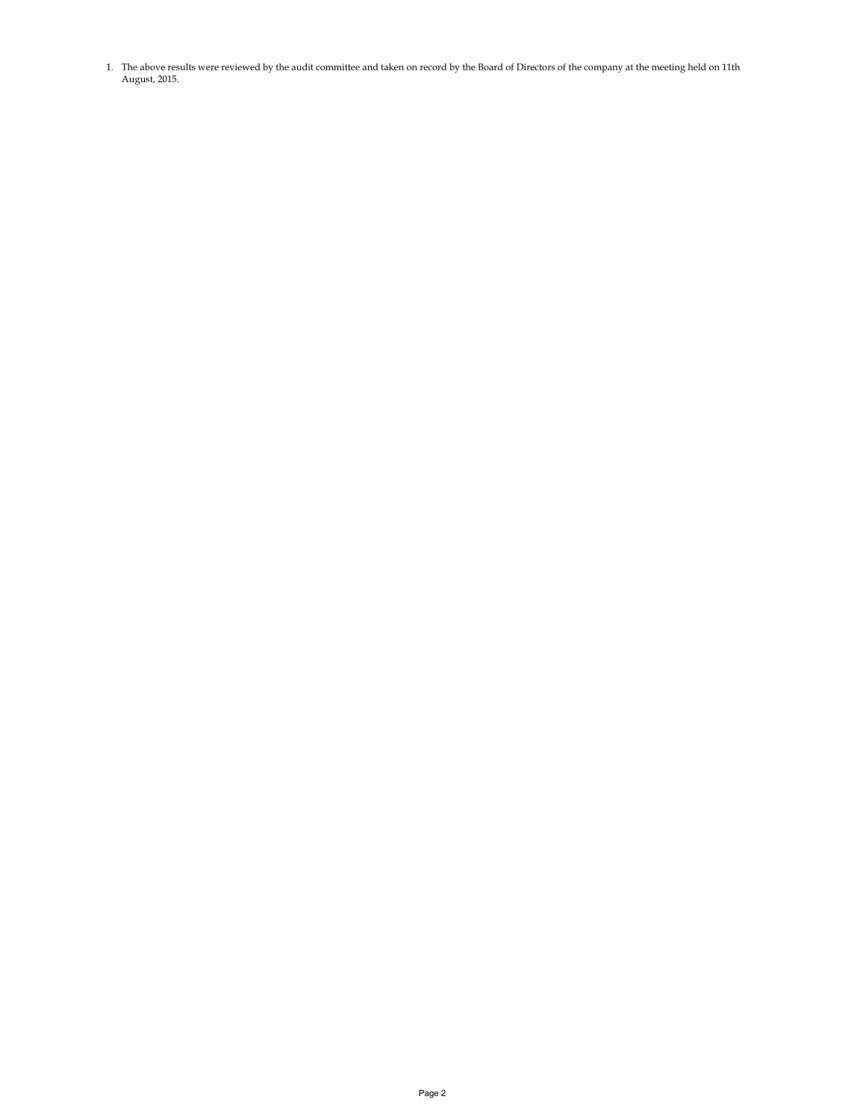1. The above results were reviewed by the audit committee and taken on record by the Board of Directors of the company at the meeting held on 11th August, 2015.